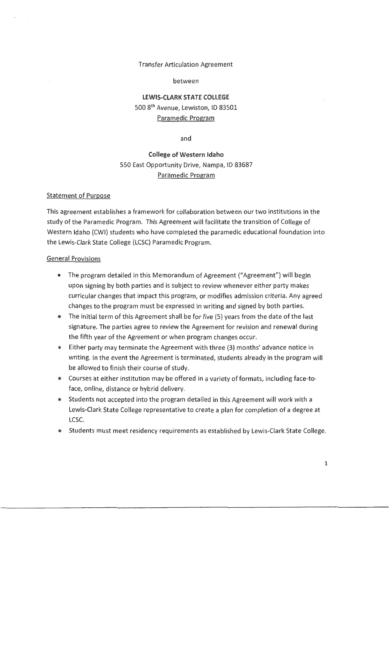#### Transfer Articulation Agreement

#### between

## **LEWIS-CLARK STATE COLLEGE**  500 8th Avenue, Lewiston, 10 83501 Paramedic Program

and

# **College of Western Idaho**  550 East Opportunity Drive, Nampa, ID 83687 Paramedic Program

#### Statement of Purpose

This agreement establishes a framework for collaboration between our two institutions in the study of the Paramedic Program. This Agreement will facilitate the transition of College of Western Idaho (CWI) students who have completed the paramedic educational foundation into the Lewis-Clark State College (LCSC) Paramedic Program.

#### General Provisions

- The program detailed in this Memorandum of Agreement ("Agreement") will begin upon signing by both parties and is subject to review whenever either party makes curricular changes that impact this program, or modifies admission criteria. Any agreed changes to the program must be expressed in writing and signed by both parties.
- The initial term of this Agreement shall be for five (5) years from the date of the last signature. The parties agree to review the Agreement for revision and renewal during the fifth year of the Agreement or when program changes occur.
- Either party may terminate the Agreement with three (3) months' advance notice in writing. In the event the Agreement is terminated, students already in the program will be allowed to finish their course of study.
- Courses at either institution may be offered in a variety of formats, including face-toface, online, distance or hybrid delivery.
- Students not accepted into the program detailed in this Agreement will work with a Lewis-Clark State College representative to create a plan for completion of a degree at LCSC.
- Students must meet residency requirements as established by Lewis-Clark State College.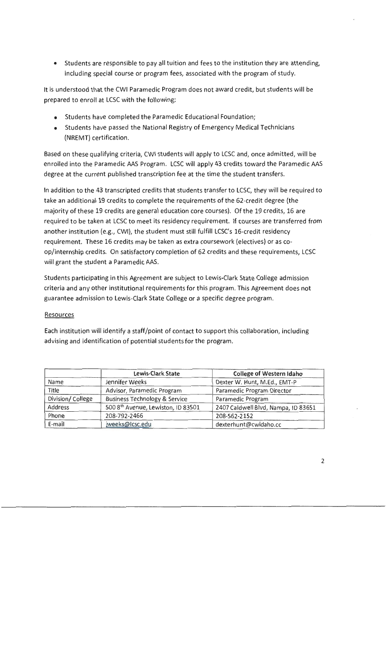• Students are responsible to pay all tuition and fees to the institution they are attending, including special course or program fees, associated with the program of study.

It is understood that the CWI Paramedic Program does not award credit, but students will be prepared to enroll at LCSC with the following:

- Students have completed the Paramedic Educational Foundation;
- Students have passed the National Registry of Emergency Medical Technicians (NREMT) certification.

Based on these qualifying criteria, CWI students will apply to LCSC and, once admitted, will be enrolled into the Paramedic AAS Program. LCSC will apply 43 credits toward the Paramedic AAS degree at the current published transcription fee at the time the student transfers.

In addition to the 43 transcripted credits that students transfer to LCSC, they will be required to take an additional 19 credits to complete the requirements of the 62-credit degree (the majority of these 19 credits are general education core courses). Of the 19 credits, 16 are required to be taken at LCSC to meet its residency requirement. If courses are transferred from another institution (e.g., CWI), the student must still fulfill LCSC's 16-credit residency requirement. These 16 credits may be taken as extra coursework (electives) or as coop/internship credits. On satisfactory completion of 62 credits and these requirements, LCSC will grant the student a Paramedic AAS.

Students participating in this Agreement are subject to Lewis-Clark State College admission criteria and any other institutional requirements for this program. This Agreement does not guarantee admission to Lewis-Clark State College or a specific degree program.

### Resources

Each institution will identify a staff/point of contact to support this collaboration, including advising and identification of potential students for the program.

|                  | <b>Lewis-Clark State</b>                 | <b>College of Western Idaho</b>     |
|------------------|------------------------------------------|-------------------------------------|
| Name             | Jennifer Weeks                           | Dexter W. Hunt, M.Ed., EMT-P        |
| Title            | Advisor, Paramedic Program               | Paramedic Program Director          |
| Division/College | <b>Business Technology &amp; Service</b> | Paramedic Program                   |
| Address          | 500 8th Avenue, Lewiston, ID 83501       | 2407 Caldwell Blvd, Nampa, ID 83651 |
| Phone            | 208-792-2466                             | 208-562-2152                        |
| E-mail           | jweeks@lcsc.edu                          | dexterhunt@cwidaho.cc               |